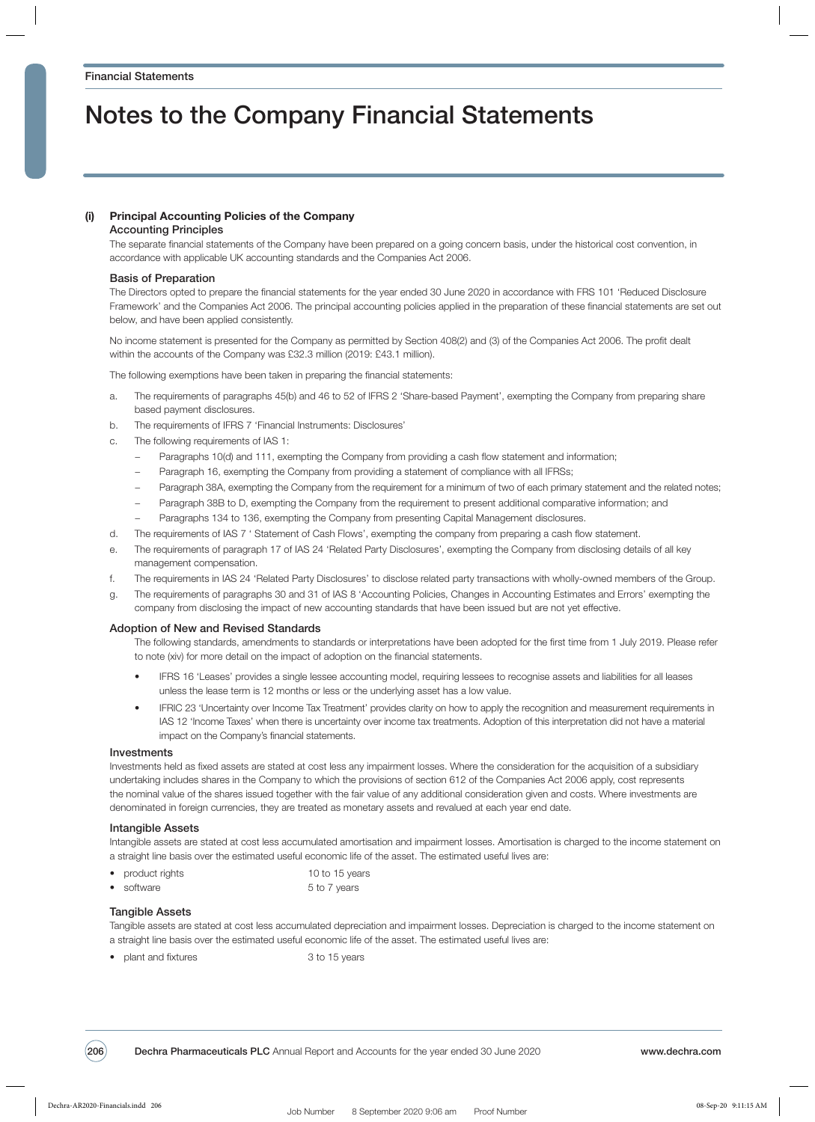# Notes to the Company Financial Statements

## (i) Principal Accounting Policies of the Company

### Accounting Principles

The separate financial statements of the Company have been prepared on a going concern basis, under the historical cost convention, in accordance with applicable UK accounting standards and the Companies Act 2006.

## Basis of Preparation

The Directors opted to prepare the financial statements for the year ended 30 June 2020 in accordance with FRS 101 'Reduced Disclosure Framework' and the Companies Act 2006. The principal accounting policies applied in the preparation of these financial statements are set out below, and have been applied consistently.

No income statement is presented for the Company as permitted by Section 408(2) and (3) of the Companies Act 2006. The profit dealt within the accounts of the Company was £32.3 million (2019: £43.1 million).

The following exemptions have been taken in preparing the financial statements:

- a. The requirements of paragraphs 45(b) and 46 to 52 of IFRS 2 'Share-based Payment', exempting the Company from preparing share based payment disclosures.
- b. The requirements of IFRS 7 'Financial Instruments: Disclosures'
- c. The following requirements of IAS 1:
	- − Paragraphs 10(d) and 111, exempting the Company from providing a cash flow statement and information;
	- Paragraph 16, exempting the Company from providing a statement of compliance with all IFRSs;
	- − Paragraph 38A, exempting the Company from the requirement for a minimum of two of each primary statement and the related notes;
	- − Paragraph 38B to D, exempting the Company from the requirement to present additional comparative information; and
	- Paragraphs 134 to 136, exempting the Company from presenting Capital Management disclosures.
- d. The requirements of IAS 7 ' Statement of Cash Flows', exempting the company from preparing a cash flow statement.
- e. The requirements of paragraph 17 of IAS 24 'Related Party Disclosures', exempting the Company from disclosing details of all key management compensation.
- f. The requirements in IAS 24 'Related Party Disclosures' to disclose related party transactions with wholly-owned members of the Group.
- g. The requirements of paragraphs 30 and 31 of IAS 8 'Accounting Policies, Changes in Accounting Estimates and Errors' exempting the company from disclosing the impact of new accounting standards that have been issued but are not yet effective.

### Adoption of New and Revised Standards

The following standards, amendments to standards or interpretations have been adopted for the first time from 1 July 2019. Please refer to note (xiv) for more detail on the impact of adoption on the financial statements.

- IFRS 16 'Leases' provides a single lessee accounting model, requiring lessees to recognise assets and liabilities for all leases unless the lease term is 12 months or less or the underlying asset has a low value.
- IFRIC 23 'Uncertainty over Income Tax Treatment' provides clarity on how to apply the recognition and measurement requirements in IAS 12 'Income Taxes' when there is uncertainty over income tax treatments. Adoption of this interpretation did not have a material impact on the Company's financial statements.

### Investments

Investments held as fixed assets are stated at cost less any impairment losses. Where the consideration for the acquisition of a subsidiary undertaking includes shares in the Company to which the provisions of section 612 of the Companies Act 2006 apply, cost represents the nominal value of the shares issued together with the fair value of any additional consideration given and costs. Where investments are denominated in foreign currencies, they are treated as monetary assets and revalued at each year end date.

### Intangible Assets

Intangible assets are stated at cost less accumulated amortisation and impairment losses. Amortisation is charged to the income statement on a straight line basis over the estimated useful economic life of the asset. The estimated useful lives are:

- product rights 10 to 15 years
- software 5 to 7 years

### Tangible Assets

Tangible assets are stated at cost less accumulated depreciation and impairment losses. Depreciation is charged to the income statement on a straight line basis over the estimated useful economic life of the asset. The estimated useful lives are:

• plant and fixtures 3 to 15 years